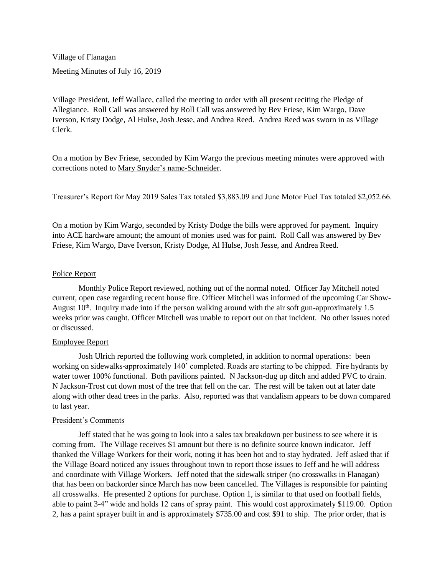Village of Flanagan Meeting Minutes of July 16, 2019

Village President, Jeff Wallace, called the meeting to order with all present reciting the Pledge of Allegiance. Roll Call was answered by Roll Call was answered by Bev Friese, Kim Wargo, Dave Iverson, Kristy Dodge, Al Hulse, Josh Jesse, and Andrea Reed. Andrea Reed was sworn in as Village Clerk.

On a motion by Bev Friese, seconded by Kim Wargo the previous meeting minutes were approved with corrections noted to Mary Snyder's name-Schneider.

Treasurer's Report for May 2019 Sales Tax totaled \$3,883.09 and June Motor Fuel Tax totaled \$2,052.66.

On a motion by Kim Wargo, seconded by Kristy Dodge the bills were approved for payment. Inquiry into ACE hardware amount; the amount of monies used was for paint. Roll Call was answered by Bev Friese, Kim Wargo, Dave Iverson, Kristy Dodge, Al Hulse, Josh Jesse, and Andrea Reed.

# Police Report

Monthly Police Report reviewed, nothing out of the normal noted. Officer Jay Mitchell noted current, open case regarding recent house fire. Officer Mitchell was informed of the upcoming Car Show-August  $10<sup>th</sup>$ . Inquiry made into if the person walking around with the air soft gun-approximately 1.5 weeks prior was caught. Officer Mitchell was unable to report out on that incident. No other issues noted or discussed.

#### Employee Report

Josh Ulrich reported the following work completed, in addition to normal operations: been working on sidewalks-approximately 140' completed. Roads are starting to be chipped. Fire hydrants by water tower 100% functional. Both pavilions painted. N Jackson-dug up ditch and added PVC to drain. N Jackson-Trost cut down most of the tree that fell on the car. The rest will be taken out at later date along with other dead trees in the parks. Also, reported was that vandalism appears to be down compared to last year.

#### President's Comments

Jeff stated that he was going to look into a sales tax breakdown per business to see where it is coming from. The Village receives \$1 amount but there is no definite source known indicator. Jeff thanked the Village Workers for their work, noting it has been hot and to stay hydrated. Jeff asked that if the Village Board noticed any issues throughout town to report those issues to Jeff and he will address and coordinate with Village Workers. Jeff noted that the sidewalk striper (no crosswalks in Flanagan) that has been on backorder since March has now been cancelled. The Villages is responsible for painting all crosswalks. He presented 2 options for purchase. Option 1, is similar to that used on football fields, able to paint 3-4" wide and holds 12 cans of spray paint. This would cost approximately \$119.00. Option 2, has a paint sprayer built in and is approximately \$735.00 and cost \$91 to ship. The prior order, that is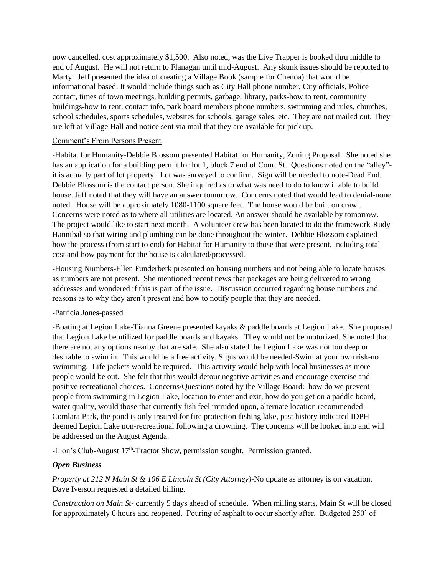now cancelled, cost approximately \$1,500. Also noted, was the Live Trapper is booked thru middle to end of August. He will not return to Flanagan until mid-August. Any skunk issues should be reported to Marty. Jeff presented the idea of creating a Village Book (sample for Chenoa) that would be informational based. It would include things such as City Hall phone number, City officials, Police contact, times of town meetings, building permits, garbage, library, parks-how to rent, community buildings-how to rent, contact info, park board members phone numbers, swimming and rules, churches, school schedules, sports schedules, websites for schools, garage sales, etc. They are not mailed out. They are left at Village Hall and notice sent via mail that they are available for pick up.

#### Comment's From Persons Present

-Habitat for Humanity-Debbie Blossom presented Habitat for Humanity, Zoning Proposal. She noted she has an application for a building permit for lot 1, block 7 end of Court St. Questions noted on the "alley"it is actually part of lot property. Lot was surveyed to confirm. Sign will be needed to note-Dead End. Debbie Blossom is the contact person. She inquired as to what was need to do to know if able to build house. Jeff noted that they will have an answer tomorrow. Concerns noted that would lead to denial-none noted. House will be approximately 1080-1100 square feet. The house would be built on crawl. Concerns were noted as to where all utilities are located. An answer should be available by tomorrow. The project would like to start next month. A volunteer crew has been located to do the framework-Rudy Hannibal so that wiring and plumbing can be done throughout the winter. Debbie Blossom explained how the process (from start to end) for Habitat for Humanity to those that were present, including total cost and how payment for the house is calculated/processed.

-Housing Numbers-Ellen Funderberk presented on housing numbers and not being able to locate houses as numbers are not present. She mentioned recent news that packages are being delivered to wrong addresses and wondered if this is part of the issue. Discussion occurred regarding house numbers and reasons as to why they aren't present and how to notify people that they are needed.

# -Patricia Jones-passed

-Boating at Legion Lake-Tianna Greene presented kayaks & paddle boards at Legion Lake. She proposed that Legion Lake be utilized for paddle boards and kayaks. They would not be motorized. She noted that there are not any options nearby that are safe. She also stated the Legion Lake was not too deep or desirable to swim in. This would be a free activity. Signs would be needed-Swim at your own risk-no swimming. Life jackets would be required. This activity would help with local businesses as more people would be out. She felt that this would detour negative activities and encourage exercise and positive recreational choices. Concerns/Questions noted by the Village Board: how do we prevent people from swimming in Legion Lake, location to enter and exit, how do you get on a paddle board, water quality, would those that currently fish feel intruded upon, alternate location recommended-Comlara Park, the pond is only insured for fire protection-fishing lake, past history indicated IDPH deemed Legion Lake non-recreational following a drowning. The concerns will be looked into and will be addressed on the August Agenda.

-Lion's Club-August 17<sup>th</sup>-Tractor Show, permission sought. Permission granted.

# *Open Business*

*Property at 212 N Main St & 106 E Lincoln St (City Attorney)-*No update as attorney is on vacation. Dave Iverson requested a detailed billing.

*Construction on Main St-* currently 5 days ahead of schedule. When milling starts, Main St will be closed for approximately 6 hours and reopened. Pouring of asphalt to occur shortly after. Budgeted 250' of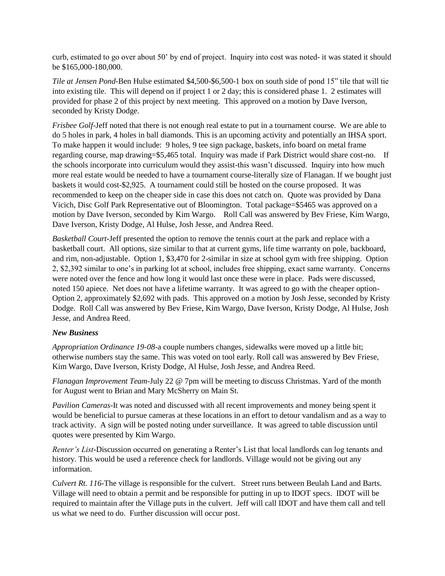curb, estimated to go over about 50' by end of project. Inquiry into cost was noted- it was stated it should be \$165,000-180,000.

*Tile at Jensen Pond-*Ben Hulse estimated \$4,500-\$6,500-1 box on south side of pond 15" tile that will tie into existing tile. This will depend on if project 1 or 2 day; this is considered phase 1. 2 estimates will provided for phase 2 of this project by next meeting. This approved on a motion by Dave Iverson, seconded by Kristy Dodge.

*Frisbee Golf-Jeff noted that there is not enough real estate to put in a tournament course. We are able to* do 5 holes in park, 4 holes in ball diamonds. This is an upcoming activity and potentially an IHSA sport. To make happen it would include: 9 holes, 9 tee sign package, baskets, info board on metal frame regarding course, map drawing=\$5,465 total. Inquiry was made if Park District would share cost-no. If the schools incorporate into curriculum would they assist-this wasn't discussed. Inquiry into how much more real estate would be needed to have a tournament course-literally size of Flanagan. If we bought just baskets it would cost-\$2,925. A tournament could still be hosted on the course proposed. It was recommended to keep on the cheaper side in case this does not catch on. Quote was provided by Dana Vicich, Disc Golf Park Representative out of Bloomington. Total package=\$5465 was approved on a motion by Dave Iverson, seconded by Kim Wargo. Roll Call was answered by Bev Friese, Kim Wargo, Dave Iverson, Kristy Dodge, Al Hulse, Josh Jesse, and Andrea Reed.

*Basketball Court-*Jeff presented the option to remove the tennis court at the park and replace with a basketball court. All options, size similar to that at current gyms, life time warranty on pole, backboard, and rim, non-adjustable. Option 1, \$3,470 for 2-similar in size at school gym with free shipping. Option 2, \$2,392 similar to one's in parking lot at school, includes free shipping, exact same warranty. Concerns were noted over the fence and how long it would last once these were in place. Pads were discussed, noted 150 apiece. Net does not have a lifetime warranty. It was agreed to go with the cheaper option-Option 2, approximately \$2,692 with pads. This approved on a motion by Josh Jesse, seconded by Kristy Dodge. Roll Call was answered by Bev Friese, Kim Wargo, Dave Iverson, Kristy Dodge, Al Hulse, Josh Jesse, and Andrea Reed.

# *New Business*

*Appropriation Ordinance 19-08-*a couple numbers changes, sidewalks were moved up a little bit; otherwise numbers stay the same. This was voted on tool early. Roll call was answered by Bev Friese, Kim Wargo, Dave Iverson, Kristy Dodge, Al Hulse, Josh Jesse, and Andrea Reed.

*Flanagan Improvement Team-*July 22 @ 7pm will be meeting to discuss Christmas. Yard of the month for August went to Brian and Mary McSherry on Main St.

*Pavilion Cameras*-It was noted and discussed with all recent improvements and money being spent it would be beneficial to pursue cameras at these locations in an effort to detour vandalism and as a way to track activity. A sign will be posted noting under surveillance. It was agreed to table discussion until quotes were presented by Kim Wargo.

*Renter's List-*Discussion occurred on generating a Renter's List that local landlords can log tenants and history. This would be used a reference check for landlords. Village would not be giving out any information.

*Culvert Rt. 116*-The village is responsible for the culvert. Street runs between Beulah Land and Barts. Village will need to obtain a permit and be responsible for putting in up to IDOT specs. IDOT will be required to maintain after the Village puts in the culvert. Jeff will call IDOT and have them call and tell us what we need to do. Further discussion will occur post.